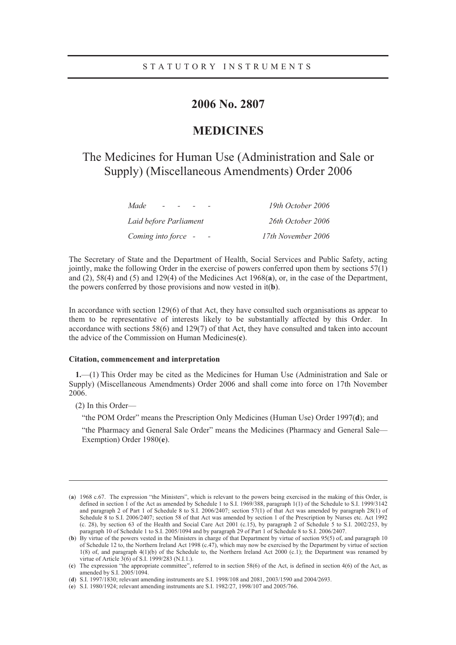# **2006 No. 2807**

# **MEDICINES**

# The Medicines for Human Use (Administration and Sale or Supply) (Miscellaneous Amendments) Order 2006

| Made<br>$\sim$         | 19th October 2006  |
|------------------------|--------------------|
| Laid before Parliament | 26th October 2006  |
| Coming into force -    | 17th November 2006 |

The Secretary of State and the Department of Health, Social Services and Public Safety, acting jointly, make the following Order in the exercise of powers conferred upon them by sections 57(1) and (2), 58(4) and (5) and 129(4) of the Medicines Act 1968(**a**), or, in the case of the Department, the powers conferred by those provisions and now vested in it(**b**).

In accordance with section 129(6) of that Act, they have consulted such organisations as appear to them to be representative of interests likely to be substantially affected by this Order. In accordance with sections 58(6) and 129(7) of that Act, they have consulted and taken into account the advice of the Commission on Human Medicines(**c**).

# **Citation, commencement and interpretation**

**1.**—(1) This Order may be cited as the Medicines for Human Use (Administration and Sale or Supply) (Miscellaneous Amendments) Order 2006 and shall come into force on 17th November 2006.

(2) In this Order—

 $\overline{a}$ 

"the POM Order" means the Prescription Only Medicines (Human Use) Order 1997(**d**); and

"the Pharmacy and General Sale Order" means the Medicines (Pharmacy and General Sale— Exemption) Order 1980(**e**).

<sup>(</sup>**a**) 1968 c.67. The expression "the Ministers", which is relevant to the powers being exercised in the making of this Order, is defined in section 1 of the Act as amended by Schedule 1 to S.I. 1969/388, paragraph 1(1) of the Schedule to S.I. 1999/3142 and paragraph 2 of Part 1 of Schedule 8 to S.I. 2006/2407; section 57(1) of that Act was amended by paragraph 28(1) of Schedule 8 to S.I. 2006/2407; section 58 of that Act was amended by section 1 of the Prescription by Nurses etc. Act 1992 (c. 28), by section 63 of the Health and Social Care Act 2001 (c.15), by paragraph 2 of Schedule 5 to S.I. 2002/253, by paragraph 10 of Schedule 1 to S.I. 2005/1094 and by paragraph 29 of Part 1 of Schedule 8 to S.I. 2006/2407.

<sup>(</sup>**b**) By virtue of the powers vested in the Ministers in charge of that Department by virtue of section 95(5) of, and paragraph 10 of Schedule 12 to, the Northern Ireland Act 1998 (c.47), which may now be exercised by the Department by virtue of section 1(8) of, and paragraph 4(1)(b) of the Schedule to, the Northern Ireland Act 2000 (c.1); the Department was renamed by virtue of Article 3(6) of S.I. 1999/283 (N.I.1.).

<sup>(</sup>**c**) The expression "the appropriate committee", referred to in section 58(6) of the Act, is defined in section 4(6) of the Act, as amended by S.I. 2005/1094.

<sup>(</sup>**d**) S.I. 1997/1830; relevant amending instruments are S.I. 1998/108 and 2081, 2003/1590 and 2004/2693.

<sup>(</sup>**e**) S.I. 1980/1924; relevant amending instruments are S.I. 1982/27, 1998/107 and 2005/766.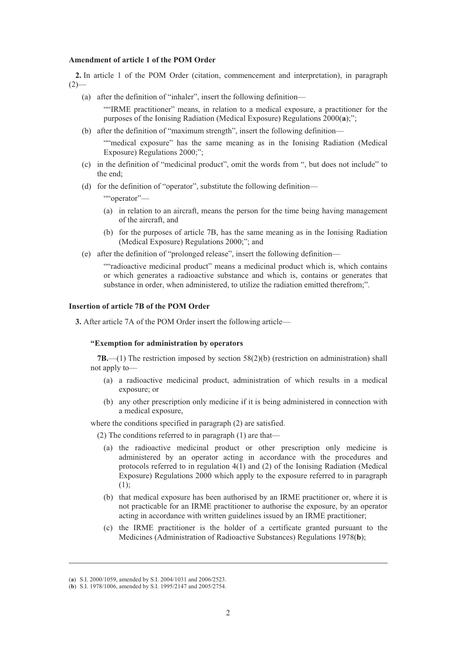#### **Amendment of article 1 of the POM Order**

**2.** In article 1 of the POM Order (citation, commencement and interpretation), in paragraph  $(2)$ 

(a) after the definition of "inhaler", insert the following definition—

""IRME practitioner" means, in relation to a medical exposure, a practitioner for the purposes of the Ionising Radiation (Medical Exposure) Regulations 2000(**a**);";

(b) after the definition of "maximum strength", insert the following definition—

""medical exposure" has the same meaning as in the Ionising Radiation (Medical Exposure) Regulations 2000;";

- (c) in the definition of "medicinal product", omit the words from ", but does not include" to the end;
- (d) for the definition of "operator", substitute the following definition—

""operator"-

- (a) in relation to an aircraft, means the person for the time being having management of the aircraft, and
- (b) for the purposes of article 7B, has the same meaning as in the Ionising Radiation (Medical Exposure) Regulations 2000;"; and
- (e) after the definition of "prolonged release", insert the following definition—

""radioactive medicinal product" means a medicinal product which is, which contains or which generates a radioactive substance and which is, contains or generates that substance in order, when administered, to utilize the radiation emitted therefrom;".

# **Insertion of article 7B of the POM Order**

**3.** After article 7A of the POM Order insert the following article—

#### **"Exemption for administration by operators**

**7B.**—(1) The restriction imposed by section 58(2)(b) (restriction on administration) shall not apply to—

- (a) a radioactive medicinal product, administration of which results in a medical exposure; or
- (b) any other prescription only medicine if it is being administered in connection with a medical exposure,

where the conditions specified in paragraph (2) are satisfied.

(2) The conditions referred to in paragraph (1) are that—

- (a) the radioactive medicinal product or other prescription only medicine is administered by an operator acting in accordance with the procedures and protocols referred to in regulation 4(1) and (2) of the Ionising Radiation (Medical Exposure) Regulations 2000 which apply to the exposure referred to in paragraph (1);
- (b) that medical exposure has been authorised by an IRME practitioner or, where it is not practicable for an IRME practitioner to authorise the exposure, by an operator acting in accordance with written guidelines issued by an IRME practitioner;
- (c) the IRME practitioner is the holder of a certificate granted pursuant to the Medicines (Administration of Radioactive Substances) Regulations 1978(**b**);

 $\overline{a}$ 

<sup>(</sup>**a**) S.I. 2000/1059, amended by S.I. 2004/1031 and 2006/2523.

<sup>(</sup>**b**) S.I. 1978/1006, amended by S.I. 1995/2147 and 2005/2754.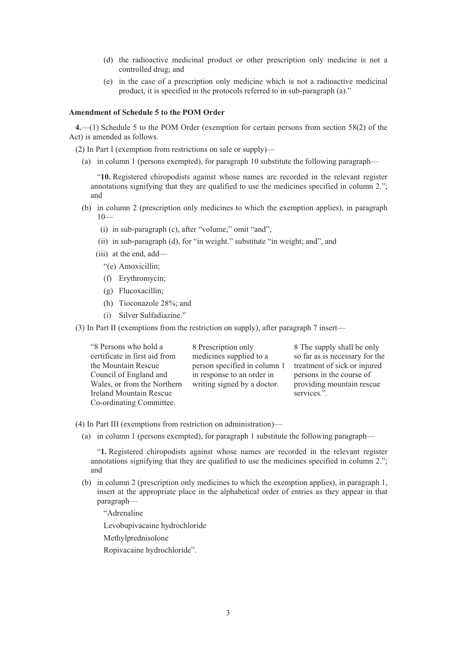- (d) the radioactive medicinal product or other prescription only medicine is not a controlled drug; and
- (e) in the case of a prescription only medicine which is not a radioactive medicinal product, it is specified in the protocols referred to in sub-paragraph (a)."

### **Amendment of Schedule 5 to the POM Order**

**4.**—(1) Schedule 5 to the POM Order (exemption for certain persons from section 58(2) of the Act) is amended as follows.

(2) In Part I (exemption from restrictions on sale or supply)—

(a) in column 1 (persons exempted), for paragraph 10 substitute the following paragraph—

"**10.** Registered chiropodists against whose names are recorded in the relevant register annotations signifying that they are qualified to use the medicines specified in column 2."; and

- (b) in column 2 (prescription only medicines to which the exemption applies), in paragraph  $10-$ 
	- (i) in sub-paragraph (c), after "volume;" omit "and",
	- (ii) in sub-paragraph (d), for "in weight." substitute "in weight; and", and
	- (iii) at the end, add—
		- "(e) Amoxicillin;
		- (f) Erythromycin;
		- (g) Flucoxacillin;
		- (h) Tioconazole 28%; and
		- (i) Silver Sulfadiazine."

(3) In Part II (exemptions from the restriction on supply), after paragraph 7 insert—

| "8 Persons who hold a         | 8 Prescription only          |              |
|-------------------------------|------------------------------|--------------|
| certificate in first aid from | medicines supplied to a      | S            |
| the Mountain Rescue           | person specified in column 1 | $^{\dagger}$ |
| Council of England and        | in response to an order in   | r            |
| Wales, or from the Northern   | writing signed by a doctor.  | p            |
| Ireland Mountain Rescue       |                              | S            |
| Co-ordinating Committee.      |                              |              |

The supply shall be only so far as is necessary for the reatment of sick or injured persons in the course of providing mountain rescue services.".

- (4) In Part III (exemptions from restriction on administration)—
	- (a) in column 1 (persons exempted), for paragraph 1 substitute the following paragraph—

"**1.** Registered chiropodists against whose names are recorded in the relevant register annotations signifying that they are qualified to use the medicines specified in column 2."; and

(b) in column 2 (prescription only medicines to which the exemption applies), in paragraph 1, insert at the appropriate place in the alphabetical order of entries as they appear in that paragraph—

"Adrenaline

Levobupivacaine hydrochloride

Methylprednisolone

Ropivacaine hydrochloride".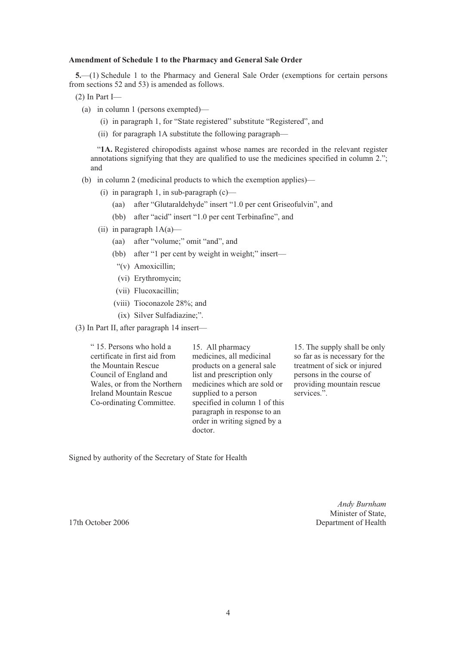## **Amendment of Schedule 1 to the Pharmacy and General Sale Order**

**5.**—(1) Schedule 1 to the Pharmacy and General Sale Order (exemptions for certain persons from sections 52 and 53) is amended as follows.

- (2) In Part I—
	- (a) in column 1 (persons exempted)—
		- (i) in paragraph 1, for "State registered" substitute "Registered", and
		- (ii) for paragraph 1A substitute the following paragraph—

"**1A.** Registered chiropodists against whose names are recorded in the relevant register annotations signifying that they are qualified to use the medicines specified in column 2."; and

(b) in column 2 (medicinal products to which the exemption applies)—

- (i) in paragraph 1, in sub-paragraph  $(c)$ 
	- (aa) after "Glutaraldehyde" insert "1.0 per cent Griseofulvin", and
	- (bb) after "acid" insert "1.0 per cent Terbinafine", and
- (ii) in paragraph  $1A(a)$ 
	- (aa) after "volume;" omit "and", and
	- (bb) after "1 per cent by weight in weight;" insert—
	- "(v) Amoxicillin;
	- (vi) Erythromycin;
	- (vii) Flucoxacillin;
	- (viii) Tioconazole 28%; and
	- (ix) Silver Sulfadiazine;".
- (3) In Part II, after paragraph 14 insert—

" 15. Persons who hold a certificate in first aid from the Mountain Rescue Council of England and Wales, or from the Northern Ireland Mountain Rescue Co-ordinating Committee.

15. All pharmacy medicines, all medicinal products on a general sale list and prescription only medicines which are sold or supplied to a person specified in column 1 of this paragraph in response to an order in writing signed by a doctor.

15. The supply shall be only so far as is necessary for the treatment of sick or injured persons in the course of providing mountain rescue services.".

Signed by authority of the Secretary of State for Health

*Andy Burnham*  Minister of State, 17th October 2006 Department of Health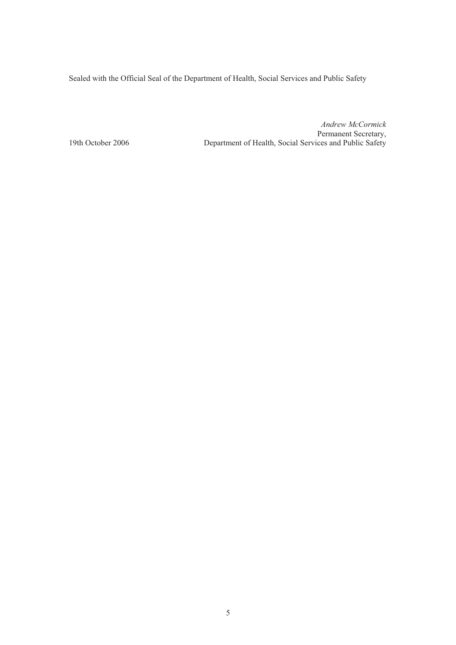Sealed with the Official Seal of the Department of Health, Social Services and Public Safety

*Andrew McCormick*  Permanent Secretary,<br>19th October 2006 **Department of Health, Social Services and Public Safety** Department of Health, Social Services and Public Safety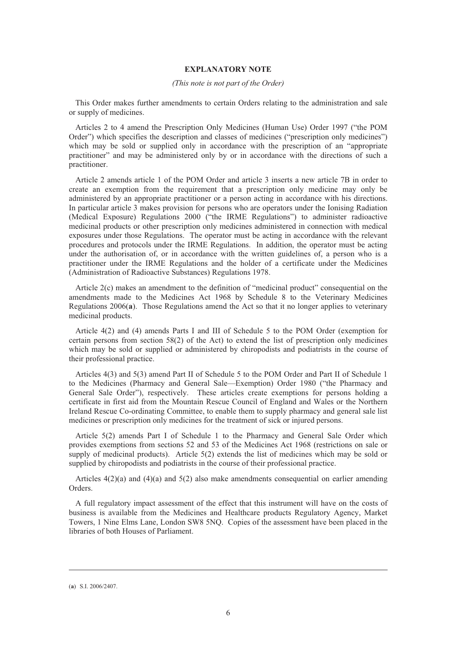## **EXPLANATORY NOTE**

#### *(This note is not part of the Order)*

This Order makes further amendments to certain Orders relating to the administration and sale or supply of medicines.

Articles 2 to 4 amend the Prescription Only Medicines (Human Use) Order 1997 ("the POM Order") which specifies the description and classes of medicines ("prescription only medicines") which may be sold or supplied only in accordance with the prescription of an "appropriate practitioner" and may be administered only by or in accordance with the directions of such a practitioner.

Article 2 amends article 1 of the POM Order and article 3 inserts a new article 7B in order to create an exemption from the requirement that a prescription only medicine may only be administered by an appropriate practitioner or a person acting in accordance with his directions. In particular article 3 makes provision for persons who are operators under the Ionising Radiation (Medical Exposure) Regulations 2000 ("the IRME Regulations") to administer radioactive medicinal products or other prescription only medicines administered in connection with medical exposures under those Regulations. The operator must be acting in accordance with the relevant procedures and protocols under the IRME Regulations. In addition, the operator must be acting under the authorisation of, or in accordance with the written guidelines of, a person who is a practitioner under the IRME Regulations and the holder of a certificate under the Medicines (Administration of Radioactive Substances) Regulations 1978.

Article 2(c) makes an amendment to the definition of "medicinal product" consequential on the amendments made to the Medicines Act 1968 by Schedule 8 to the Veterinary Medicines Regulations 2006(**a**). Those Regulations amend the Act so that it no longer applies to veterinary medicinal products.

Article 4(2) and (4) amends Parts I and III of Schedule 5 to the POM Order (exemption for certain persons from section  $58(2)$  of the Act) to extend the list of prescription only medicines which may be sold or supplied or administered by chiropodists and podiatrists in the course of their professional practice.

Articles 4(3) and 5(3) amend Part II of Schedule 5 to the POM Order and Part II of Schedule 1 to the Medicines (Pharmacy and General Sale—Exemption) Order 1980 ("the Pharmacy and General Sale Order"), respectively. These articles create exemptions for persons holding a certificate in first aid from the Mountain Rescue Council of England and Wales or the Northern Ireland Rescue Co-ordinating Committee, to enable them to supply pharmacy and general sale list medicines or prescription only medicines for the treatment of sick or injured persons.

Article 5(2) amends Part I of Schedule 1 to the Pharmacy and General Sale Order which provides exemptions from sections 52 and 53 of the Medicines Act 1968 (restrictions on sale or supply of medicinal products). Article 5(2) extends the list of medicines which may be sold or supplied by chiropodists and podiatrists in the course of their professional practice.

Articles  $4(2)(a)$  and  $(4)(a)$  and  $5(2)$  also make amendments consequential on earlier amending Orders.

A full regulatory impact assessment of the effect that this instrument will have on the costs of business is available from the Medicines and Healthcare products Regulatory Agency, Market Towers, 1 Nine Elms Lane, London SW8 5NQ. Copies of the assessment have been placed in the libraries of both Houses of Parliament.

 $\overline{a}$ 

<sup>(</sup>**a**) S.I. 2006/2407.